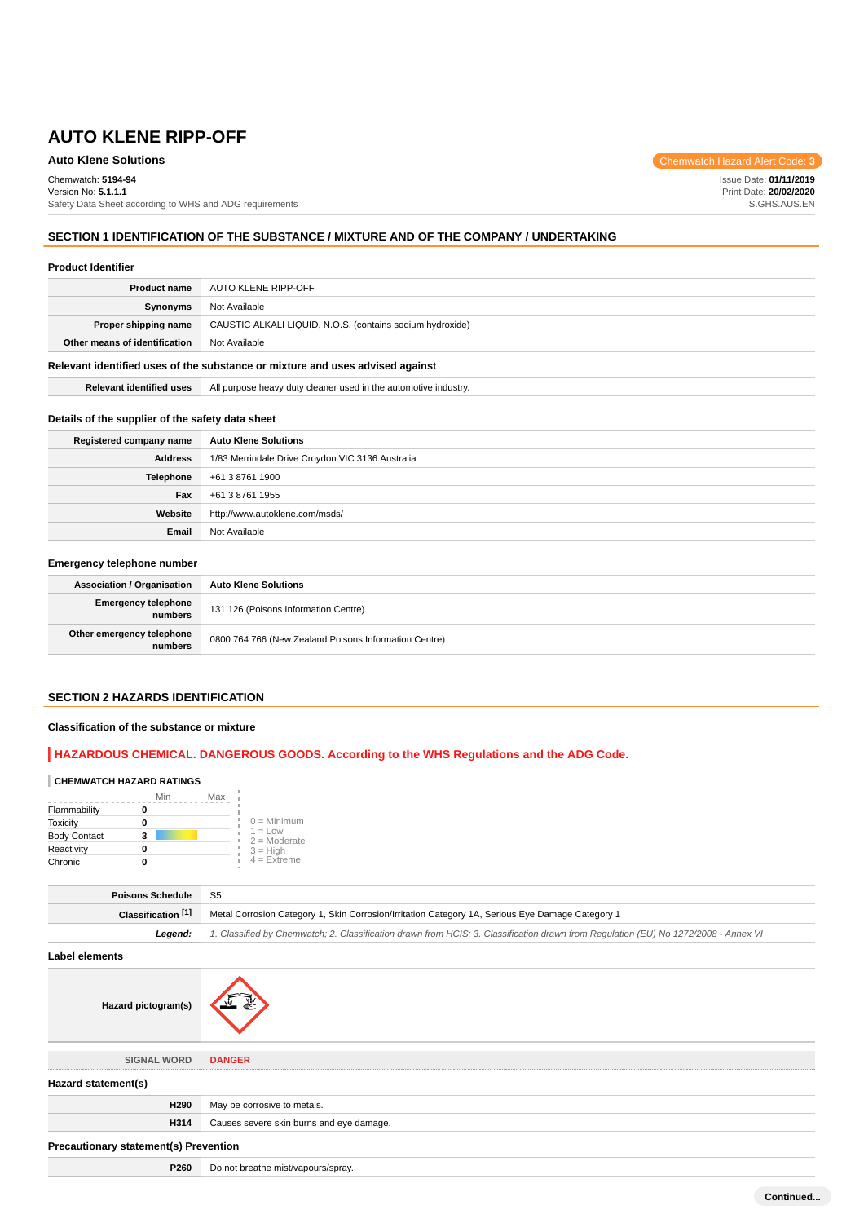# **Auto Klene Solutions** Chemwatch Hazard Alert Code: 3<sup>1</sup>

Chemwatch: **5194-94**

Version No: **5.1.1.1** Safety Data Sheet according to WHS and ADG requirements

## **SECTION 1 IDENTIFICATION OF THE SUBSTANCE / MIXTURE AND OF THE COMPANY / UNDERTAKING**

#### **Product Identifier**

| <b>Product name</b>           | AUTO KLENE RIPP-OFF                                       |
|-------------------------------|-----------------------------------------------------------|
| Synonyms                      | Not Available                                             |
| Proper shipping name          | CAUSTIC ALKALI LIQUID, N.O.S. (contains sodium hydroxide) |
| Other means of identification | Not Available                                             |
|                               |                                                           |

## **Relevant identified uses of the substance or mixture and uses advised against**

### **Details of the supplier of the safety data sheet**

| Registered company name | <b>Auto Klene Solutions</b>                      |
|-------------------------|--------------------------------------------------|
| <b>Address</b>          | 1/83 Merrindale Drive Croydon VIC 3136 Australia |
| <b>Telephone</b>        | +61 3 8761 1900                                  |
| Fax                     | +61 3 8761 1955                                  |
| Website                 | http://www.autoklene.com/msds/                   |
| Email                   | Not Available                                    |

# **Emergency telephone number**

| <b>Association / Organisation</b>              | <b>Auto Klene Solutions</b>                           |
|------------------------------------------------|-------------------------------------------------------|
| <b>Emergency telephone</b><br><b>I</b> numbers | 131 126 (Poisons Information Centre)                  |
| Other emergency telephone<br>numbers           | 0800 764 766 (New Zealand Poisons Information Centre) |

#### **SECTION 2 HAZARDS IDENTIFICATION**

#### **Classification of the substance or mixture**

# **HAZARDOUS CHEMICAL. DANGEROUS GOODS. According to the WHS Regulations and the ADG Code.**

## **CHEMWATCH HAZARD RATINGS**

|                     | Min | Max |                             |
|---------------------|-----|-----|-----------------------------|
| Flammability        |     |     |                             |
| <b>Toxicity</b>     |     |     | $0 =$ Minimum               |
| <b>Body Contact</b> | 3   |     | $1 = Low$<br>$2 =$ Moderate |
| Reactivity          |     |     | $3 =$ High                  |
| Chronic             |     |     | $4$ = Extreme               |

| <b>Poisons Schedule</b> S5 |                                                                                                                                     |
|----------------------------|-------------------------------------------------------------------------------------------------------------------------------------|
| Classification [1]         | Metal Corrosion Category 1, Skin Corrosion/Irritation Category 1A, Serious Eye Damage Category 1                                    |
| Leaend:                    | 1. Classified by Chemwatch; 2. Classification drawn from HCIS; 3. Classification drawn from Requlation (EU) No 1272/2008 - Annex VI |

| Hazard pictogram(s)                          |                                          |
|----------------------------------------------|------------------------------------------|
| <b>SIGNAL WORD</b>                           | <b>DANGER</b>                            |
| Hazard statement(s)                          |                                          |
| H290                                         | May be corrosive to metals.              |
| H314                                         | Causes severe skin burns and eye damage. |
| <b>Precautionary statement(s) Prevention</b> |                                          |
| P260                                         | Do not breathe mist/vapours/spray.       |

Issue Date: **01/11/2019**

Print Date: **20/02/2020** S.GHS.AUS.EN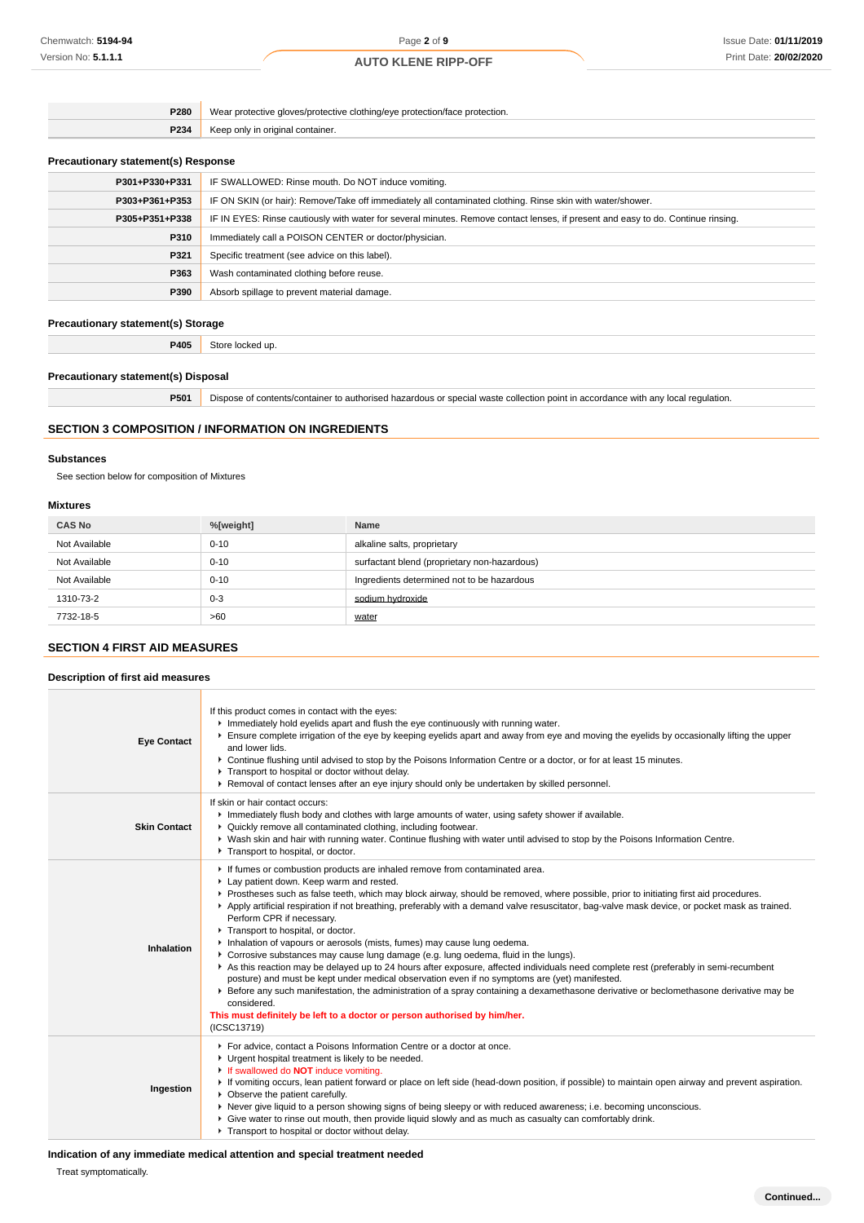**P280** Wear protective gloves/protective clothing/eye protection/face protection. **P234** Keep only in original container.

## **Precautionary statement(s) Response**

| P301+P330+P331 | IF SWALLOWED: Rinse mouth. Do NOT induce vomiting.                                                                               |
|----------------|----------------------------------------------------------------------------------------------------------------------------------|
| P303+P361+P353 | IF ON SKIN (or hair): Remove/Take off immediately all contaminated clothing. Rinse skin with water/shower.                       |
| P305+P351+P338 | IF IN EYES: Rinse cautiously with water for several minutes. Remove contact lenses, if present and easy to do. Continue rinsing. |
| P310           | Immediately call a POISON CENTER or doctor/physician.                                                                            |
| P321           | Specific treatment (see advice on this label).                                                                                   |
| P363           | Wash contaminated clothing before reuse.                                                                                         |
| P390           | Absorb spillage to prevent material damage.                                                                                      |

# **Precautionary statement(s) Storage**

**P405** Store locked up.

### **Precautionary statement(s) Disposal**

**P501** Dispose of contents/container to authorised hazardous or special waste collection point in accordance with any local regulation.

## **SECTION 3 COMPOSITION / INFORMATION ON INGREDIENTS**

#### **Substances**

See section below for composition of Mixtures

## **Mixtures**

| <b>CAS No</b> | %[weight] | Name                                         |
|---------------|-----------|----------------------------------------------|
| Not Available | $0 - 10$  | alkaline salts, proprietary                  |
| Not Available | $0 - 10$  | surfactant blend (proprietary non-hazardous) |
| Not Available | $0 - 10$  | Ingredients determined not to be hazardous   |
| 1310-73-2     | $0 - 3$   | sodium hvdroxide                             |
| 7732-18-5     | >60       | water                                        |

## **SECTION 4 FIRST AID MEASURES**

| Description of first aid measures |                                                                                                                                                                                                                                                                                                                                                                                                                                                                                                                                                                                                                                                                                                                                                                                                                                                                                                                                                                                                                                                                                                                                                     |  |
|-----------------------------------|-----------------------------------------------------------------------------------------------------------------------------------------------------------------------------------------------------------------------------------------------------------------------------------------------------------------------------------------------------------------------------------------------------------------------------------------------------------------------------------------------------------------------------------------------------------------------------------------------------------------------------------------------------------------------------------------------------------------------------------------------------------------------------------------------------------------------------------------------------------------------------------------------------------------------------------------------------------------------------------------------------------------------------------------------------------------------------------------------------------------------------------------------------|--|
| <b>Eye Contact</b>                | If this product comes in contact with the eyes:<br>Immediately hold eyelids apart and flush the eye continuously with running water.<br>Ensure complete irrigation of the eye by keeping eyelids apart and away from eye and moving the eyelids by occasionally lifting the upper<br>and lower lids.<br>▶ Continue flushing until advised to stop by the Poisons Information Centre or a doctor, or for at least 15 minutes.<br>Transport to hospital or doctor without delay.<br>▶ Removal of contact lenses after an eye injury should only be undertaken by skilled personnel.                                                                                                                                                                                                                                                                                                                                                                                                                                                                                                                                                                   |  |
| <b>Skin Contact</b>               | If skin or hair contact occurs:<br>Immediately flush body and clothes with large amounts of water, using safety shower if available.<br>• Quickly remove all contaminated clothing, including footwear.<br>▶ Wash skin and hair with running water. Continue flushing with water until advised to stop by the Poisons Information Centre.<br>Transport to hospital, or doctor.                                                                                                                                                                                                                                                                                                                                                                                                                                                                                                                                                                                                                                                                                                                                                                      |  |
| Inhalation                        | If fumes or combustion products are inhaled remove from contaminated area.<br>Lay patient down. Keep warm and rested.<br>Frostheses such as false teeth, which may block airway, should be removed, where possible, prior to initiating first aid procedures.<br>▶ Apply artificial respiration if not breathing, preferably with a demand valve resuscitator, bag-valve mask device, or pocket mask as trained.<br>Perform CPR if necessary.<br>Transport to hospital, or doctor.<br>Inhalation of vapours or aerosols (mists, fumes) may cause lung oedema.<br>► Corrosive substances may cause lung damage (e.g. lung oedema, fluid in the lungs).<br>As this reaction may be delayed up to 24 hours after exposure, affected individuals need complete rest (preferably in semi-recumbent<br>posture) and must be kept under medical observation even if no symptoms are (yet) manifested.<br>Effore any such manifestation, the administration of a spray containing a dexamethasone derivative or beclomethasone derivative may be<br>considered.<br>This must definitely be left to a doctor or person authorised by him/her.<br>(ICSC13719) |  |
| Ingestion                         | For advice, contact a Poisons Information Centre or a doctor at once.<br>• Urgent hospital treatment is likely to be needed.<br>If swallowed do <b>NOT</b> induce vomiting.<br>▶ If vomiting occurs, lean patient forward or place on left side (head-down position, if possible) to maintain open airway and prevent aspiration.<br>• Observe the patient carefully.<br>▶ Never give liquid to a person showing signs of being sleepy or with reduced awareness; i.e. becoming unconscious.<br>► Give water to rinse out mouth, then provide liquid slowly and as much as casualty can comfortably drink.<br>Transport to hospital or doctor without delay.                                                                                                                                                                                                                                                                                                                                                                                                                                                                                        |  |

**Indication of any immediate medical attention and special treatment needed**

Treat symptomatically.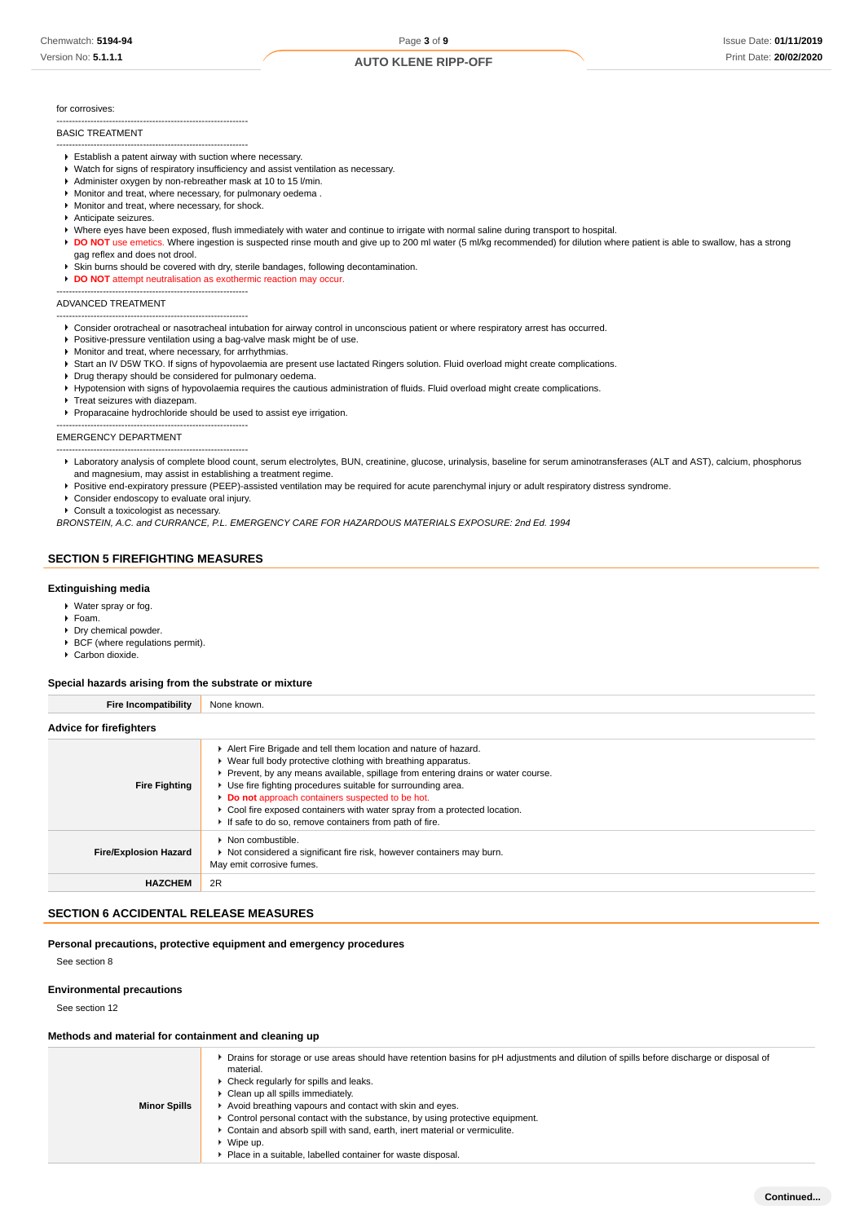for corrosives:

#### -------------------------------------------------------------- BASIC TREATMENT

- --------------------------------------------------------------
- Establish a patent airway with suction where necessary.
- Watch for signs of respiratory insufficiency and assist ventilation as necessary.
- Administer oxygen by non-rebreather mask at 10 to 15 l/min.
- Monitor and treat, where necessary, for pulmonary oedema . **Monitor and treat, where necessary, for shock.**
- Anticipate seizures.
- Where eyes have been exposed, flush immediately with water and continue to irrigate with normal saline during transport to hospital.
- DO NOT use emetics. Where ingestion is suspected rinse mouth and give up to 200 ml water (5 ml/kg recommended) for dilution where patient is able to swallow, has a strong gag reflex and does not drool.
- Skin burns should be covered with dry, sterile bandages, following decontamination.
- **DO NOT** attempt neutralisation as exothermic reaction may occur.

#### -------------------------------------------------------------- ADVANCED TREATMENT

- -------------------------------------------------------------- Consider orotracheal or nasotracheal intubation for airway control in unconscious patient or where respiratory arrest has occurred.
- **Positive-pressure ventilation using a bag-valve mask might be of use.**
- **Monitor and treat, where necessary, for arrhythmias.**
- ▶ Start an IV D5W TKO. If signs of hypovolaemia are present use lactated Ringers solution. Fluid overload might create complications.
- **P** Drug therapy should be considered for pulmonary oedema.
- Hypotension with signs of hypovolaemia requires the cautious administration of fluids. Fluid overload might create complications.
- $\blacktriangleright$  Treat seizures with diazepam.
- Proparacaine hydrochloride should be used to assist eye irrigation.

#### -------------------------------------------------------------- EMERGENCY DEPARTMENT

- Laboratory analysis of complete blood count, serum electrolytes, BUN, creatinine, glucose, urinalysis, baseline for serum aminotransferases (ALT and AST), calcium, phosphorus and magnesium, may assist in establishing a treatment regime.
- Positive end-expiratory pressure (PEEP)-assisted ventilation may be required for acute parenchymal injury or adult respiratory distress syndrome.
- Consider endoscopy to evaluate oral injury.

--------------------------------------------------------------

Consult a toxicologist as necessary.

BRONSTEIN, A.C. and CURRANCE, P.L. EMERGENCY CARE FOR HAZARDOUS MATERIALS EXPOSURE: 2nd Ed. 1994

# **SECTION 5 FIREFIGHTING MEASURES**

## **Extinguishing media**

- Water spray or fog.
- Foam.
- **Dry chemical powder.**
- $\blacktriangleright$  BCF (where regulations permit).
- Carbon dioxide.

#### **Special hazards arising from the substrate or mixture**

| <b>Fire Incompatibility</b>    | None known.                                                                                                                                                                                                                                                                                                                                                                                                                                                                      |  |
|--------------------------------|----------------------------------------------------------------------------------------------------------------------------------------------------------------------------------------------------------------------------------------------------------------------------------------------------------------------------------------------------------------------------------------------------------------------------------------------------------------------------------|--|
| <b>Advice for firefighters</b> |                                                                                                                                                                                                                                                                                                                                                                                                                                                                                  |  |
| <b>Fire Fighting</b>           | Alert Fire Brigade and tell them location and nature of hazard.<br>▶ Wear full body protective clothing with breathing apparatus.<br>Prevent, by any means available, spillage from entering drains or water course.<br>▶ Use fire fighting procedures suitable for surrounding area.<br>Do not approach containers suspected to be hot.<br>• Cool fire exposed containers with water spray from a protected location.<br>If safe to do so, remove containers from path of fire. |  |
| <b>Fire/Explosion Hazard</b>   | $\blacktriangleright$ Non combustible.<br>▶ Not considered a significant fire risk, however containers may burn.<br>May emit corrosive fumes.                                                                                                                                                                                                                                                                                                                                    |  |
| <b>HAZCHEM</b>                 | 2R                                                                                                                                                                                                                                                                                                                                                                                                                                                                               |  |

# **SECTION 6 ACCIDENTAL RELEASE MEASURES**

**Personal precautions, protective equipment and emergency procedures**

See section 8

#### **Environmental precautions**

See section 12

#### **Methods and material for containment and cleaning up**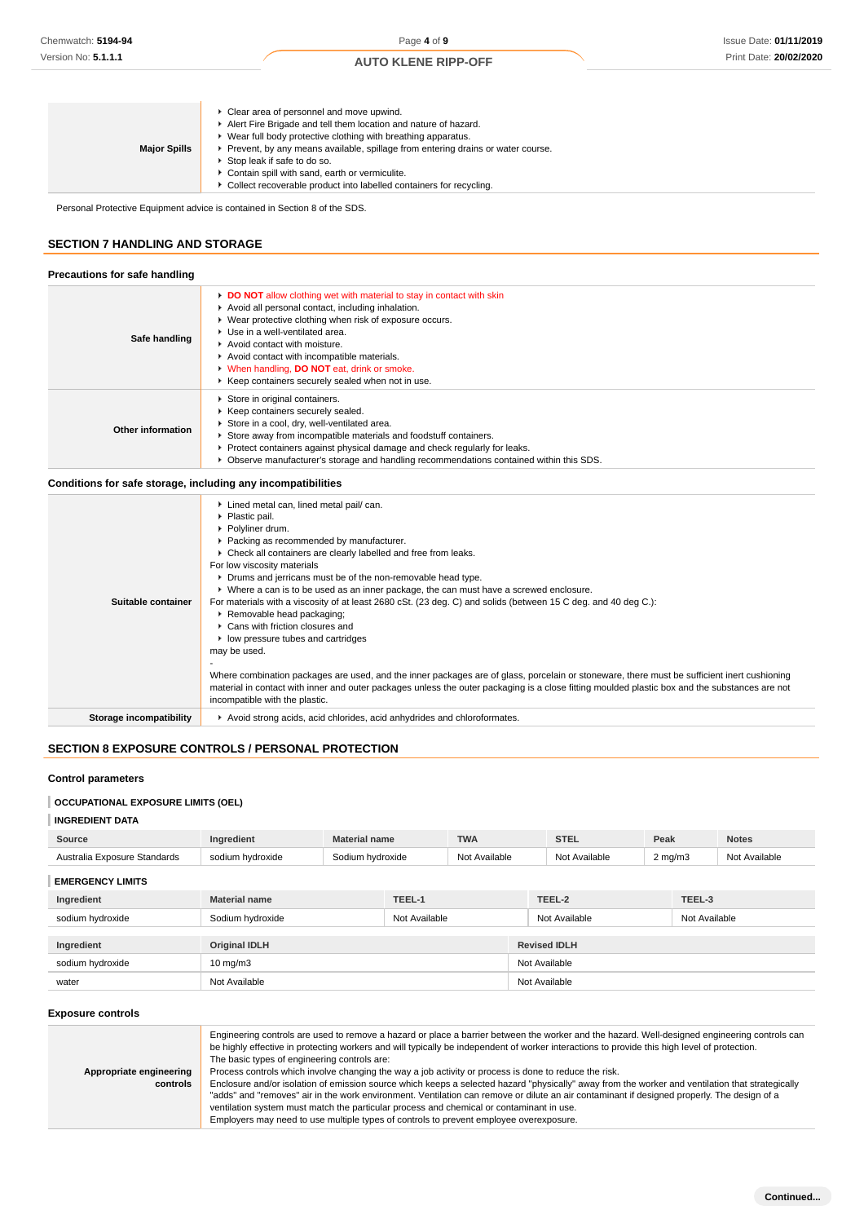| • Clear area of personnel and move upwind.<br>Alert Fire Brigade and tell them location and nature of hazard.<br>Wear full body protective clothing with breathing apparatus.<br>Prevent, by any means available, spillage from entering drains or water course.<br><b>Major Spills</b><br>Stop leak if safe to do so.<br>Contain spill with sand, earth or vermiculite.<br>▶ Collect recoverable product into labelled containers for recycling. |
|---------------------------------------------------------------------------------------------------------------------------------------------------------------------------------------------------------------------------------------------------------------------------------------------------------------------------------------------------------------------------------------------------------------------------------------------------|
|---------------------------------------------------------------------------------------------------------------------------------------------------------------------------------------------------------------------------------------------------------------------------------------------------------------------------------------------------------------------------------------------------------------------------------------------------|

## **SECTION 7 HANDLING AND STORAGE**

| Precautions for safe handling |                                                                                                                                                                                                                                                                                                                                                                                                               |
|-------------------------------|---------------------------------------------------------------------------------------------------------------------------------------------------------------------------------------------------------------------------------------------------------------------------------------------------------------------------------------------------------------------------------------------------------------|
| Safe handling                 | DO NOT allow clothing wet with material to stay in contact with skin<br>Avoid all personal contact, including inhalation.<br>▶ Wear protective clothing when risk of exposure occurs.<br>▶ Use in a well-ventilated area.<br>Avoid contact with moisture.<br>Avoid contact with incompatible materials.<br>V When handling, DO NOT eat, drink or smoke.<br>▶ Keep containers securely sealed when not in use. |
| Other information             | Store in original containers.<br>▶ Keep containers securely sealed.<br>Store in a cool, dry, well-ventilated area.<br>Store away from incompatible materials and foodstuff containers.<br>▶ Protect containers against physical damage and check regularly for leaks.<br>▶ Observe manufacturer's storage and handling recommendations contained within this SDS.                                             |

# **Conditions for safe storage, including any incompatibilities**

| Chemwatch: 5194-94                                                                                                                                                     |                                                                                                                                                                                                                                                                                                                                                                                                                         |                                                                                                                                                                                                                                                                                                                                                                                               | Page 4 of 9                |                                                                                                                                                                                                                                                                                                                                                                                                                                                                                                                                                                                                                                                                                                           |              | <b>Issue Date: 01/11/2019</b> |
|------------------------------------------------------------------------------------------------------------------------------------------------------------------------|-------------------------------------------------------------------------------------------------------------------------------------------------------------------------------------------------------------------------------------------------------------------------------------------------------------------------------------------------------------------------------------------------------------------------|-----------------------------------------------------------------------------------------------------------------------------------------------------------------------------------------------------------------------------------------------------------------------------------------------------------------------------------------------------------------------------------------------|----------------------------|-----------------------------------------------------------------------------------------------------------------------------------------------------------------------------------------------------------------------------------------------------------------------------------------------------------------------------------------------------------------------------------------------------------------------------------------------------------------------------------------------------------------------------------------------------------------------------------------------------------------------------------------------------------------------------------------------------------|--------------|-------------------------------|
| Version No: <b>5.1.1.1</b>                                                                                                                                             |                                                                                                                                                                                                                                                                                                                                                                                                                         |                                                                                                                                                                                                                                                                                                                                                                                               | <b>AUTO KLENE RIPP-OFF</b> |                                                                                                                                                                                                                                                                                                                                                                                                                                                                                                                                                                                                                                                                                                           |              | Print Date: 20/02/2020        |
| <b>Major Spills</b>                                                                                                                                                    | ▶ Stop leak if safe to do so.                                                                                                                                                                                                                                                                                                                                                                                           | Clear area of personnel and move upwind.<br>Alert Fire Brigade and tell them location and nature of hazard.<br>• Wear full body protective clothing with breathing apparatus.<br>▶ Prevent, by any means available, spillage from entering drains or water course.<br>Contain spill with sand, earth or vermiculite.<br>• Collect recoverable product into labelled containers for recycling. |                            |                                                                                                                                                                                                                                                                                                                                                                                                                                                                                                                                                                                                                                                                                                           |              |                               |
| Personal Protective Equipment advice is contained in Section 8 of the SDS.                                                                                             |                                                                                                                                                                                                                                                                                                                                                                                                                         |                                                                                                                                                                                                                                                                                                                                                                                               |                            |                                                                                                                                                                                                                                                                                                                                                                                                                                                                                                                                                                                                                                                                                                           |              |                               |
| <b>SECTION 7 HANDLING AND STORAGE</b>                                                                                                                                  |                                                                                                                                                                                                                                                                                                                                                                                                                         |                                                                                                                                                                                                                                                                                                                                                                                               |                            |                                                                                                                                                                                                                                                                                                                                                                                                                                                                                                                                                                                                                                                                                                           |              |                               |
| Precautions for safe handling                                                                                                                                          |                                                                                                                                                                                                                                                                                                                                                                                                                         |                                                                                                                                                                                                                                                                                                                                                                                               |                            |                                                                                                                                                                                                                                                                                                                                                                                                                                                                                                                                                                                                                                                                                                           |              |                               |
| Safe handling                                                                                                                                                          |                                                                                                                                                                                                                                                                                                                                                                                                                         | DO NOT allow clothing wet with material to stay in contact with skin<br>Avoid all personal contact, including inhalation.<br>▶ Wear protective clothing when risk of exposure occurs.<br>Use in a well-ventilated area.<br>Avoid contact with moisture.<br>Avoid contact with incompatible materials.<br>V When handling, DO NOT eat, drink or smoke.                                         |                            |                                                                                                                                                                                                                                                                                                                                                                                                                                                                                                                                                                                                                                                                                                           |              |                               |
| Other information                                                                                                                                                      | ▶ Keep containers securely sealed when not in use.<br>Store in original containers.<br>▶ Keep containers securely sealed.<br>Store in a cool, dry, well-ventilated area.<br>Store away from incompatible materials and foodstuff containers.<br>▶ Protect containers against physical damage and check regularly for leaks.<br>▶ Observe manufacturer's storage and handling recommendations contained within this SDS. |                                                                                                                                                                                                                                                                                                                                                                                               |                            |                                                                                                                                                                                                                                                                                                                                                                                                                                                                                                                                                                                                                                                                                                           |              |                               |
| Conditions for safe storage, including any incompatibilities                                                                                                           |                                                                                                                                                                                                                                                                                                                                                                                                                         |                                                                                                                                                                                                                                                                                                                                                                                               |                            |                                                                                                                                                                                                                                                                                                                                                                                                                                                                                                                                                                                                                                                                                                           |              |                               |
| Suitable container                                                                                                                                                     | Lined metal can, lined metal pail/ can.<br>▶ Plastic pail.<br>▶ Polyliner drum.<br>For low viscosity materials<br>Removable head packaging;<br>▶ Cans with friction closures and<br>▶ low pressure tubes and cartridges<br>may be used.<br>incompatible with the plastic.                                                                                                                                               | Packing as recommended by manufacturer.<br>Check all containers are clearly labelled and free from leaks.<br>• Drums and jerricans must be of the non-removable head type.<br>▶ Where a can is to be used as an inner package, the can must have a screwed enclosure.                                                                                                                         |                            | For materials with a viscosity of at least 2680 cSt. (23 deg. C) and solids (between 15 C deg. and 40 deg C.):<br>Where combination packages are used, and the inner packages are of glass, porcelain or stoneware, there must be sufficient inert cushioning<br>material in contact with inner and outer packages unless the outer packaging is a close fitting moulded plastic box and the substances are not                                                                                                                                                                                                                                                                                           |              |                               |
| <b>Storage incompatibility</b>                                                                                                                                         |                                                                                                                                                                                                                                                                                                                                                                                                                         | Avoid strong acids, acid chlorides, acid anhydrides and chloroformates.                                                                                                                                                                                                                                                                                                                       |                            |                                                                                                                                                                                                                                                                                                                                                                                                                                                                                                                                                                                                                                                                                                           |              |                               |
|                                                                                                                                                                        |                                                                                                                                                                                                                                                                                                                                                                                                                         |                                                                                                                                                                                                                                                                                                                                                                                               |                            |                                                                                                                                                                                                                                                                                                                                                                                                                                                                                                                                                                                                                                                                                                           |              |                               |
| <b>SECTION 8 EXPOSURE CONTROLS / PERSONAL PROTECTION</b><br><b>Control parameters</b><br><b>OCCUPATIONAL EXPOSURE LIMITS (OEL)</b><br><b>INGREDIENT DATA</b><br>Source | Ingredient                                                                                                                                                                                                                                                                                                                                                                                                              | <b>Material name</b>                                                                                                                                                                                                                                                                                                                                                                          | <b>TWA</b>                 | <b>STEL</b>                                                                                                                                                                                                                                                                                                                                                                                                                                                                                                                                                                                                                                                                                               | Peak         | <b>Notes</b>                  |
| Australia Exposure Standards                                                                                                                                           | sodium hydroxide                                                                                                                                                                                                                                                                                                                                                                                                        | Sodium hydroxide                                                                                                                                                                                                                                                                                                                                                                              | Not Available              | Not Available                                                                                                                                                                                                                                                                                                                                                                                                                                                                                                                                                                                                                                                                                             | $2$ mg/m $3$ | Not Available                 |
|                                                                                                                                                                        |                                                                                                                                                                                                                                                                                                                                                                                                                         |                                                                                                                                                                                                                                                                                                                                                                                               |                            |                                                                                                                                                                                                                                                                                                                                                                                                                                                                                                                                                                                                                                                                                                           |              |                               |
| <b>EMERGENCY LIMITS</b>                                                                                                                                                |                                                                                                                                                                                                                                                                                                                                                                                                                         |                                                                                                                                                                                                                                                                                                                                                                                               |                            |                                                                                                                                                                                                                                                                                                                                                                                                                                                                                                                                                                                                                                                                                                           |              |                               |
| Ingredient                                                                                                                                                             | <b>Material name</b><br>TEEL-1<br>Not Available                                                                                                                                                                                                                                                                                                                                                                         |                                                                                                                                                                                                                                                                                                                                                                                               |                            | TEEL-2                                                                                                                                                                                                                                                                                                                                                                                                                                                                                                                                                                                                                                                                                                    | TEEL-3       |                               |
| sodium hydroxide                                                                                                                                                       | Sodium hydroxide                                                                                                                                                                                                                                                                                                                                                                                                        |                                                                                                                                                                                                                                                                                                                                                                                               |                            | Not Available                                                                                                                                                                                                                                                                                                                                                                                                                                                                                                                                                                                                                                                                                             |              | Not Available                 |
| Ingredient                                                                                                                                                             | <b>Original IDLH</b>                                                                                                                                                                                                                                                                                                                                                                                                    |                                                                                                                                                                                                                                                                                                                                                                                               | <b>Revised IDLH</b>        |                                                                                                                                                                                                                                                                                                                                                                                                                                                                                                                                                                                                                                                                                                           |              |                               |
| sodium hydroxide                                                                                                                                                       | $10 \text{ mg/m}$                                                                                                                                                                                                                                                                                                                                                                                                       |                                                                                                                                                                                                                                                                                                                                                                                               |                            | Not Available                                                                                                                                                                                                                                                                                                                                                                                                                                                                                                                                                                                                                                                                                             |              |                               |
| water                                                                                                                                                                  | Not Available                                                                                                                                                                                                                                                                                                                                                                                                           |                                                                                                                                                                                                                                                                                                                                                                                               |                            | Not Available                                                                                                                                                                                                                                                                                                                                                                                                                                                                                                                                                                                                                                                                                             |              |                               |
| <b>Exposure controls</b>                                                                                                                                               |                                                                                                                                                                                                                                                                                                                                                                                                                         |                                                                                                                                                                                                                                                                                                                                                                                               |                            |                                                                                                                                                                                                                                                                                                                                                                                                                                                                                                                                                                                                                                                                                                           |              |                               |
| Appropriate engineering<br>controls                                                                                                                                    | The basic types of engineering controls are:<br>Employers may need to use multiple types of controls to prevent employee overexposure.                                                                                                                                                                                                                                                                                  | ventilation system must match the particular process and chemical or contaminant in use.                                                                                                                                                                                                                                                                                                      |                            | Engineering controls are used to remove a hazard or place a barrier between the worker and the hazard. Well-designed engineering controls can<br>be highly effective in protecting workers and will typically be independent of worker interactions to provide this high level of protection.<br>Process controls which involve changing the way a job activity or process is done to reduce the risk.<br>Enclosure and/or isolation of emission source which keeps a selected hazard "physically" away from the worker and ventilation that strategically<br>"adds" and "removes" air in the work environment. Ventilation can remove or dilute an air contaminant if designed properly. The design of a |              |                               |

# **SECTION 8 EXPOSURE CONTROLS / PERSONAL PROTECTION**

## **Control parameters**

## **OCCUPATIONAL EXPOSURE LIMITS (OEL)**

# **INGREDIENT DATA**

| <b>Source</b>                | redient          | <b>Material name</b>  | <b>TWA</b>                  | <b>STEL</b>   | Peak    | <b>Notes</b> |
|------------------------------|------------------|-----------------------|-----------------------------|---------------|---------|--------------|
| Australia Exposure Standards | sodium hvdroxide | ≧∩di⊔m<br>ı hvdroxide | Available<br>N <sub>0</sub> | Not Available | 2 mg/m3 | Available    |

## **EMERGENCY LIMITS**

| Ingredient       | <b>Material name</b>              | TEEL-1 | TEEL-2              | TEEL-3        |  |
|------------------|-----------------------------------|--------|---------------------|---------------|--|
| sodium hydroxide | Sodium hydroxide<br>Not Available |        | Not Available       | Not Available |  |
|                  |                                   |        |                     |               |  |
| Ingredient       | <b>Original IDLH</b>              |        | <b>Revised IDLH</b> |               |  |
| sodium hydroxide | $10 \text{ mg/m}$                 |        | Not Available       |               |  |
| water            | Not Available                     |        | Not Available       |               |  |

### **Exposure controls**

|                         | Engineering controls are used to remove a hazard or place a barrier between the worker and the hazard. Well-designed engineering controls can<br>be highly effective in protecting workers and will typically be independent of worker interactions to provide this high level of protection.<br>The basic types of engineering controls are: |
|-------------------------|-----------------------------------------------------------------------------------------------------------------------------------------------------------------------------------------------------------------------------------------------------------------------------------------------------------------------------------------------|
| Appropriate engineering | Process controls which involve changing the way a job activity or process is done to reduce the risk.                                                                                                                                                                                                                                         |
| controls                | Enclosure and/or isolation of emission source which keeps a selected hazard "physically" away from the worker and ventilation that strategically                                                                                                                                                                                              |
|                         | "adds" and "removes" air in the work environment. Ventilation can remove or dilute an air contaminant if designed properly. The design of a                                                                                                                                                                                                   |
|                         | ventilation system must match the particular process and chemical or contaminant in use.                                                                                                                                                                                                                                                      |
|                         | Employers may need to use multiple types of controls to prevent employee overexposure.                                                                                                                                                                                                                                                        |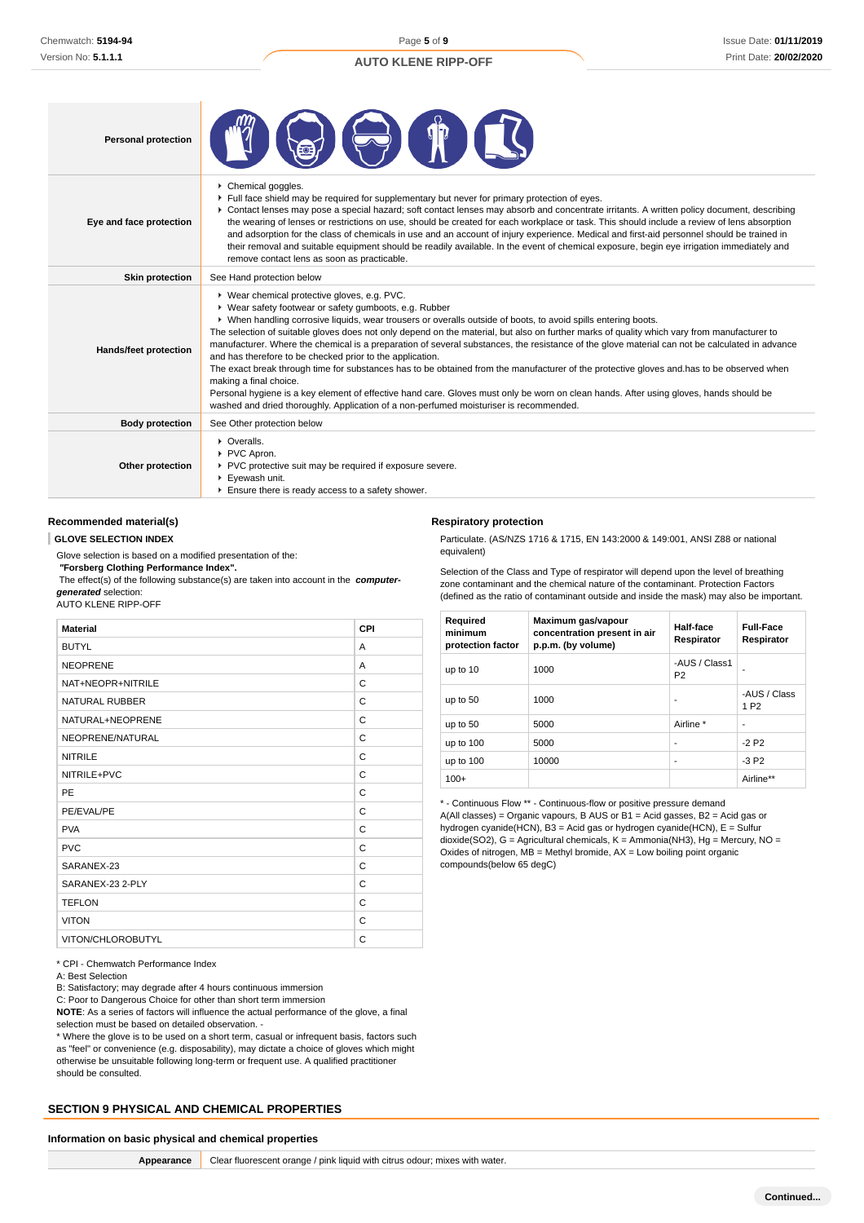Page **5** of **9**

## **AUTO KLENE RIPP-OFF**

| <b>Personal protection</b> |                                                                                                                                                                                                                                                                                                                                                                                                                                                                                                                                                                                                                                                                                                                                                                                                                                                                                                                                                                                                   |
|----------------------------|---------------------------------------------------------------------------------------------------------------------------------------------------------------------------------------------------------------------------------------------------------------------------------------------------------------------------------------------------------------------------------------------------------------------------------------------------------------------------------------------------------------------------------------------------------------------------------------------------------------------------------------------------------------------------------------------------------------------------------------------------------------------------------------------------------------------------------------------------------------------------------------------------------------------------------------------------------------------------------------------------|
| Eye and face protection    | Chemical goggles.<br>Full face shield may be required for supplementary but never for primary protection of eyes.<br>▶ Contact lenses may pose a special hazard; soft contact lenses may absorb and concentrate irritants. A written policy document, describing<br>the wearing of lenses or restrictions on use, should be created for each workplace or task. This should include a review of lens absorption<br>and adsorption for the class of chemicals in use and an account of injury experience. Medical and first-aid personnel should be trained in<br>their removal and suitable equipment should be readily available. In the event of chemical exposure, begin eye irrigation immediately and<br>remove contact lens as soon as practicable.                                                                                                                                                                                                                                         |
| <b>Skin protection</b>     | See Hand protection below                                                                                                                                                                                                                                                                                                                                                                                                                                                                                                                                                                                                                                                                                                                                                                                                                                                                                                                                                                         |
| Hands/feet protection      | ▶ Wear chemical protective gloves, e.g. PVC.<br>▶ Wear safety footwear or safety gumboots, e.g. Rubber<br>▶ When handling corrosive liquids, wear trousers or overalls outside of boots, to avoid spills entering boots.<br>The selection of suitable gloves does not only depend on the material, but also on further marks of quality which vary from manufacturer to<br>manufacturer. Where the chemical is a preparation of several substances, the resistance of the glove material can not be calculated in advance<br>and has therefore to be checked prior to the application.<br>The exact break through time for substances has to be obtained from the manufacturer of the protective gloves and has to be observed when<br>making a final choice.<br>Personal hygiene is a key element of effective hand care. Gloves must only be worn on clean hands. After using gloves, hands should be<br>washed and dried thoroughly. Application of a non-perfumed moisturiser is recommended. |
| <b>Body protection</b>     | See Other protection below                                                                                                                                                                                                                                                                                                                                                                                                                                                                                                                                                                                                                                                                                                                                                                                                                                                                                                                                                                        |
| Other protection           | $\triangleright$ Overalls.<br>PVC Apron.<br>▶ PVC protective suit may be required if exposure severe.<br>▶ Eyewash unit.<br>Ensure there is ready access to a safety shower.                                                                                                                                                                                                                                                                                                                                                                                                                                                                                                                                                                                                                                                                                                                                                                                                                      |

**Respiratory protection**

equivalent)

## **Recommended material(s)**

#### **GLOVE SELECTION INDEX**

Glove selection is based on a modified presentation of the:

 **"Forsberg Clothing Performance Index".**

 The effect(s) of the following substance(s) are taken into account in the **computergenerated** selection:

AUTO KLENE RIPP-OFF

| <b>Material</b>       | CPI |
|-----------------------|-----|
| <b>BUTYL</b>          | A   |
| <b>NEOPRENE</b>       | A   |
| NAT+NEOPR+NITRILE     | C   |
| <b>NATURAL RUBBER</b> | C   |
| NATURAL+NEOPRENE      | C   |
| NEOPRENE/NATURAL      | C   |
| <b>NITRILE</b>        | C   |
| NITRILE+PVC           | C   |
| PE                    | C   |
| PE/EVAL/PE            | C   |
| <b>PVA</b>            | C   |
| <b>PVC</b>            | C   |
| SARANEX-23            | C   |
| SARANEX-23 2-PLY      | C   |
| <b>TEFLON</b>         | C   |
| <b>VITON</b>          | C   |
| VITON/CHLOROBUTYL     | C   |

\* CPI - Chemwatch Performance Index

A: Best Selection

B: Satisfactory; may degrade after 4 hours continuous immersion

C: Poor to Dangerous Choice for other than short term immersion

**NOTE**: As a series of factors will influence the actual performance of the glove, a final selection must be based on detailed observation. -

\* Where the glove is to be used on a short term, casual or infrequent basis, factors such as "feel" or convenience (e.g. disposability), may dictate a choice of gloves which might otherwise be unsuitable following long-term or frequent use. A qualified practitioner should be consulted.

#### **SECTION 9 PHYSICAL AND CHEMICAL PROPERTIES**

#### **Information on basic physical and chemical properties**

**Appearance** Clear fluorescent orange / pink liquid with citrus odour; mixes with water.

Selection of the Class and Type of respirator will depend upon the level of breathing zone contaminant and the chemical nature of the contaminant. Protection Factors (defined as the ratio of contaminant outside and inside the mask) may also be important.

Particulate. (AS/NZS 1716 & 1715, EN 143:2000 & 149:001, ANSI Z88 or national

| Required<br>minimum<br>protection factor | Maximum gas/vapour<br>concentration present in air<br>p.p.m. (by volume) | Half-face<br>Respirator         | <b>Full-Face</b><br>Respirator   |
|------------------------------------------|--------------------------------------------------------------------------|---------------------------------|----------------------------------|
| up to 10                                 | 1000                                                                     | -AUS / Class1<br>P <sub>2</sub> |                                  |
| up to 50                                 | 1000                                                                     | ۰                               | -AUS / Class<br>1 P <sub>2</sub> |
| up to 50                                 | 5000                                                                     | Airline *                       | ۰                                |
| up to $100$                              | 5000                                                                     | ٠                               | $-2P2$                           |
| up to 100                                | 10000                                                                    | ٠                               | $-3P2$                           |
| $100+$                                   |                                                                          |                                 | Airline**                        |

\* - Continuous Flow \*\* - Continuous-flow or positive pressure demand A(All classes) = Organic vapours, B AUS or  $B1$  = Acid gasses, B2 = Acid gas or hydrogen cyanide(HCN), B3 = Acid gas or hydrogen cyanide(HCN), E = Sulfur dioxide(SO2), G = Agricultural chemicals, K = Ammonia(NH3), Hg = Mercury, NO = Oxides of nitrogen,  $MB =$  Methyl bromide,  $AX =$  Low boiling point organic compounds(below 65 degC)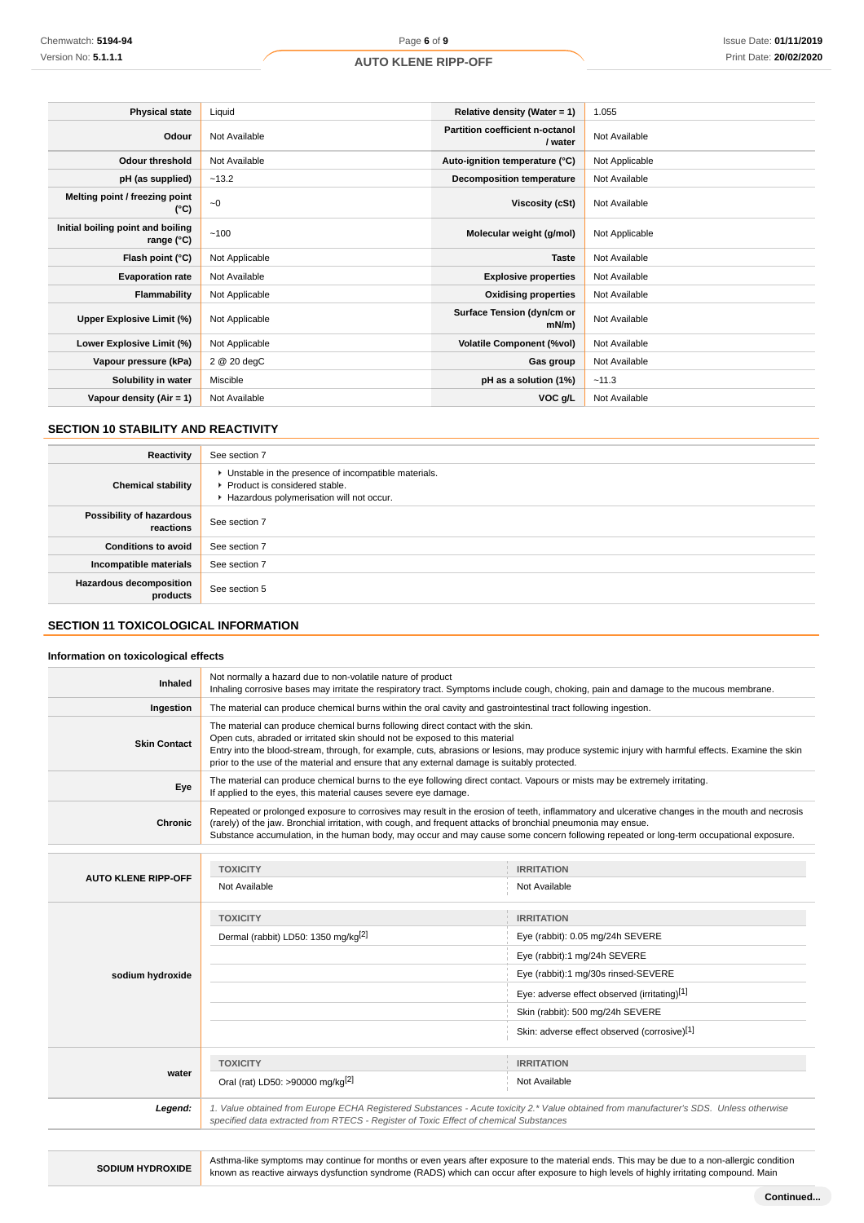| <b>Physical state</b>                           | Liquid         | Relative density (Water = 1)               | 1.055          |
|-------------------------------------------------|----------------|--------------------------------------------|----------------|
| Odour                                           | Not Available  | Partition coefficient n-octanol<br>/ water | Not Available  |
| <b>Odour threshold</b>                          | Not Available  | Auto-ignition temperature (°C)             | Not Applicable |
| pH (as supplied)                                | ~13.2          | <b>Decomposition temperature</b>           | Not Available  |
| Melting point / freezing point<br>(°C)          | $-0$           | <b>Viscosity (cSt)</b>                     | Not Available  |
| Initial boiling point and boiling<br>range (°C) | ~100           | Molecular weight (g/mol)                   | Not Applicable |
| Flash point (°C)                                | Not Applicable | <b>Taste</b>                               | Not Available  |
| <b>Evaporation rate</b>                         | Not Available  | <b>Explosive properties</b>                | Not Available  |
| Flammability                                    | Not Applicable | <b>Oxidising properties</b>                | Not Available  |
| Upper Explosive Limit (%)                       | Not Applicable | Surface Tension (dyn/cm or<br>$mN/m$ )     | Not Available  |
| Lower Explosive Limit (%)                       | Not Applicable | <b>Volatile Component (%vol)</b>           | Not Available  |
| Vapour pressure (kPa)                           | 2 @ 20 degC    | Gas group                                  | Not Available  |
| Solubility in water                             | Miscible       | pH as a solution (1%)                      | ~11.3          |
| Vapour density $(Air = 1)$                      | Not Available  | VOC g/L                                    | Not Available  |

## **SECTION 10 STABILITY AND REACTIVITY**

| Reactivity                                 | See section 7                                                                                                                        |
|--------------------------------------------|--------------------------------------------------------------------------------------------------------------------------------------|
| <b>Chemical stability</b>                  | • Unstable in the presence of incompatible materials.<br>▶ Product is considered stable.<br>Hazardous polymerisation will not occur. |
| Possibility of hazardous<br>reactions      | See section 7                                                                                                                        |
| <b>Conditions to avoid</b>                 | See section 7                                                                                                                        |
| Incompatible materials                     | See section 7                                                                                                                        |
| <b>Hazardous decomposition</b><br>products | See section 5                                                                                                                        |

## **SECTION 11 TOXICOLOGICAL INFORMATION**

### **Information on toxicological effects**

| <b>Inhaled</b>             | Not normally a hazard due to non-volatile nature of product<br>Inhaling corrosive bases may irritate the respiratory tract. Symptoms include cough, choking, pain and damage to the mucous membrane.                                                                                                                                                                                                               |                                              |  |
|----------------------------|--------------------------------------------------------------------------------------------------------------------------------------------------------------------------------------------------------------------------------------------------------------------------------------------------------------------------------------------------------------------------------------------------------------------|----------------------------------------------|--|
| Ingestion                  | The material can produce chemical burns within the oral cavity and gastrointestinal tract following ingestion.                                                                                                                                                                                                                                                                                                     |                                              |  |
| <b>Skin Contact</b>        | The material can produce chemical burns following direct contact with the skin.<br>Open cuts, abraded or irritated skin should not be exposed to this material<br>Entry into the blood-stream, through, for example, cuts, abrasions or lesions, may produce systemic injury with harmful effects. Examine the skin<br>prior to the use of the material and ensure that any external damage is suitably protected. |                                              |  |
| Eye                        | The material can produce chemical burns to the eye following direct contact. Vapours or mists may be extremely irritating.<br>If applied to the eyes, this material causes severe eye damage.                                                                                                                                                                                                                      |                                              |  |
| Chronic                    | Repeated or prolonged exposure to corrosives may result in the erosion of teeth, inflammatory and ulcerative changes in the mouth and necrosis<br>(rarely) of the jaw. Bronchial irritation, with cough, and frequent attacks of bronchial pneumonia may ensue.<br>Substance accumulation, in the human body, may occur and may cause some concern following repeated or long-term occupational exposure.          |                                              |  |
|                            |                                                                                                                                                                                                                                                                                                                                                                                                                    |                                              |  |
| <b>AUTO KLENE RIPP-OFF</b> | <b>TOXICITY</b>                                                                                                                                                                                                                                                                                                                                                                                                    | <b>IRRITATION</b>                            |  |
|                            | Not Available                                                                                                                                                                                                                                                                                                                                                                                                      | Not Available                                |  |
|                            | <b>TOXICITY</b>                                                                                                                                                                                                                                                                                                                                                                                                    | <b>IRRITATION</b>                            |  |
|                            | Dermal (rabbit) LD50: 1350 mg/kg <sup>[2]</sup>                                                                                                                                                                                                                                                                                                                                                                    | Eye (rabbit): 0.05 mg/24h SEVERE             |  |
|                            |                                                                                                                                                                                                                                                                                                                                                                                                                    | Eye (rabbit):1 mg/24h SEVERE                 |  |
| sodium hydroxide           |                                                                                                                                                                                                                                                                                                                                                                                                                    | Eye (rabbit):1 mg/30s rinsed-SEVERE          |  |
|                            |                                                                                                                                                                                                                                                                                                                                                                                                                    | Eye: adverse effect observed (irritating)[1] |  |
|                            |                                                                                                                                                                                                                                                                                                                                                                                                                    | Skin (rabbit): 500 mg/24h SEVERE             |  |
|                            |                                                                                                                                                                                                                                                                                                                                                                                                                    | Skin: adverse effect observed (corrosive)[1] |  |
|                            | <b>TOXICITY</b>                                                                                                                                                                                                                                                                                                                                                                                                    | <b>IRRITATION</b>                            |  |

Oral (rat) LD50: >90000 mg/kg<sup>[2]</sup> Not Available

**Legend:** 1. Value obtained from Europe ECHA Registered Substances - Acute toxicity 2.\* Value obtained from manufacturer's SDS. Unless otherwise specified data extracted from RTECS - Register of Toxic Effect of chemical Substances

**water**

Asthma-like symptoms may continue for months or even years after exposure to the material ends. This may be due to a non-allergic condition known as reactive airways dysfunction syndrome (RADS) which can occur after exposure to high levels of highly irritating compound. Main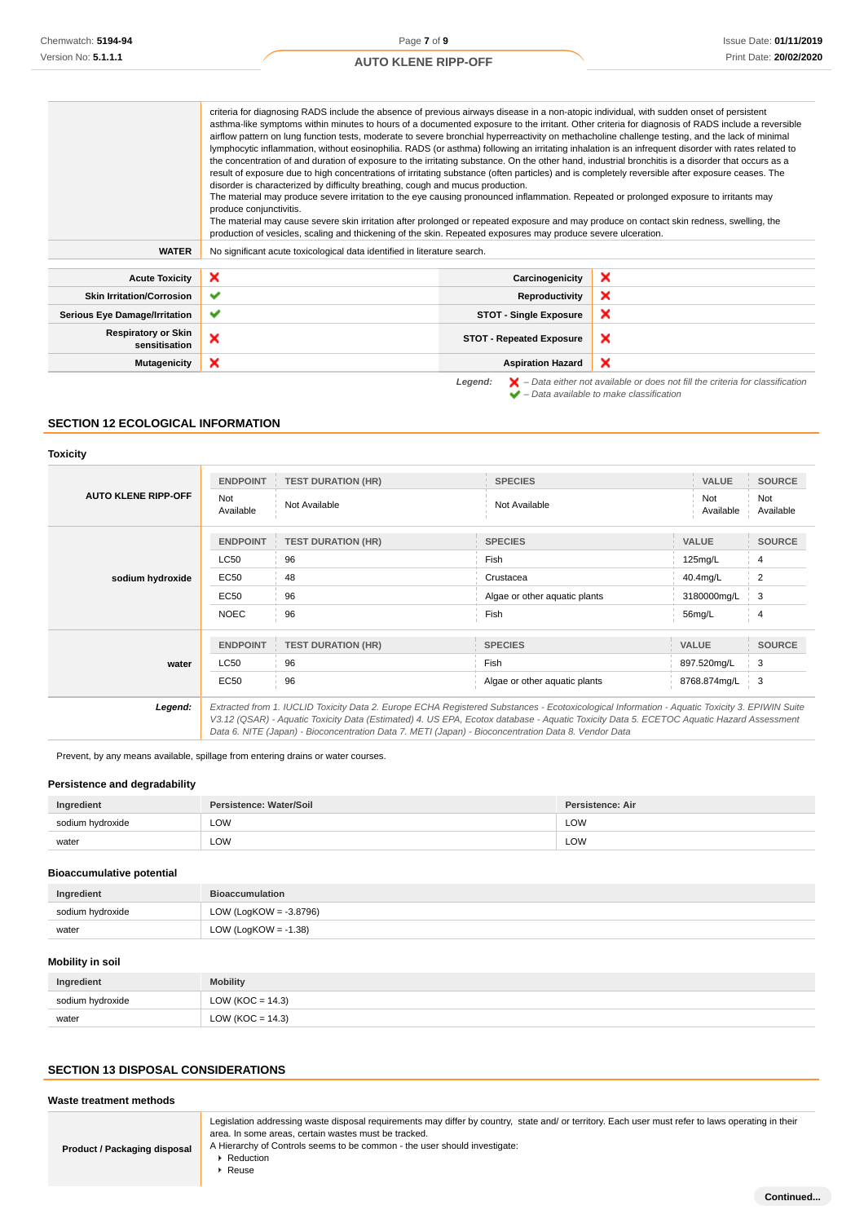|                                             | criteria for diagnosing RADS include the absence of previous airways disease in a non-atopic individual, with sudden onset of persistent<br>asthma-like symptoms within minutes to hours of a documented exposure to the irritant. Other criteria for diagnosis of RADS include a reversible<br>airflow pattern on lung function tests, moderate to severe bronchial hyperreactivity on methacholine challenge testing, and the lack of minimal<br>lymphocytic inflammation, without eosinophilia. RADS (or asthma) following an irritating inhalation is an infrequent disorder with rates related to<br>the concentration of and duration of exposure to the irritating substance. On the other hand, industrial bronchitis is a disorder that occurs as a<br>result of exposure due to high concentrations of irritating substance (often particles) and is completely reversible after exposure ceases. The<br>disorder is characterized by difficulty breathing, cough and mucus production.<br>The material may produce severe irritation to the eye causing pronounced inflammation. Repeated or prolonged exposure to irritants may<br>produce conjunctivitis.<br>The material may cause severe skin irritation after prolonged or repeated exposure and may produce on contact skin redness, swelling, the<br>production of vesicles, scaling and thickening of the skin. Repeated exposures may produce severe ulceration. |                                 |                                                                                                    |
|---------------------------------------------|--------------------------------------------------------------------------------------------------------------------------------------------------------------------------------------------------------------------------------------------------------------------------------------------------------------------------------------------------------------------------------------------------------------------------------------------------------------------------------------------------------------------------------------------------------------------------------------------------------------------------------------------------------------------------------------------------------------------------------------------------------------------------------------------------------------------------------------------------------------------------------------------------------------------------------------------------------------------------------------------------------------------------------------------------------------------------------------------------------------------------------------------------------------------------------------------------------------------------------------------------------------------------------------------------------------------------------------------------------------------------------------------------------------------------------------|---------------------------------|----------------------------------------------------------------------------------------------------|
| <b>WATER</b>                                | No significant acute toxicological data identified in literature search.                                                                                                                                                                                                                                                                                                                                                                                                                                                                                                                                                                                                                                                                                                                                                                                                                                                                                                                                                                                                                                                                                                                                                                                                                                                                                                                                                             |                                 |                                                                                                    |
| <b>Acute Toxicity</b>                       | ×                                                                                                                                                                                                                                                                                                                                                                                                                                                                                                                                                                                                                                                                                                                                                                                                                                                                                                                                                                                                                                                                                                                                                                                                                                                                                                                                                                                                                                    | Carcinogenicity                 | ×                                                                                                  |
| <b>Skin Irritation/Corrosion</b>            | ✔                                                                                                                                                                                                                                                                                                                                                                                                                                                                                                                                                                                                                                                                                                                                                                                                                                                                                                                                                                                                                                                                                                                                                                                                                                                                                                                                                                                                                                    | Reproductivity                  | ×                                                                                                  |
| <b>Serious Eye Damage/Irritation</b>        | ✔                                                                                                                                                                                                                                                                                                                                                                                                                                                                                                                                                                                                                                                                                                                                                                                                                                                                                                                                                                                                                                                                                                                                                                                                                                                                                                                                                                                                                                    | <b>STOT - Single Exposure</b>   | ×                                                                                                  |
| <b>Respiratory or Skin</b><br>sensitisation | ×                                                                                                                                                                                                                                                                                                                                                                                                                                                                                                                                                                                                                                                                                                                                                                                                                                                                                                                                                                                                                                                                                                                                                                                                                                                                                                                                                                                                                                    | <b>STOT - Repeated Exposure</b> | ×                                                                                                  |
| <b>Mutagenicity</b>                         | ×                                                                                                                                                                                                                                                                                                                                                                                                                                                                                                                                                                                                                                                                                                                                                                                                                                                                                                                                                                                                                                                                                                                                                                                                                                                                                                                                                                                                                                    | <b>Aspiration Hazard</b>        | ×                                                                                                  |
|                                             |                                                                                                                                                                                                                                                                                                                                                                                                                                                                                                                                                                                                                                                                                                                                                                                                                                                                                                                                                                                                                                                                                                                                                                                                                                                                                                                                                                                                                                      | Legend:                         | $\blacktriangleright$ - Data either not available or does not fill the criteria for classification |

– Data available to make classification

# **SECTION 12 ECOLOGICAL INFORMATION**

# **Toxicity**

|                            | <b>ENDPOINT</b>  | <b>TEST DURATION (HR)</b> | <b>SPECIES</b>                                                                                                                                                                                                                                                                     | <b>VALUE</b>     | <b>SOURCE</b>    |
|----------------------------|------------------|---------------------------|------------------------------------------------------------------------------------------------------------------------------------------------------------------------------------------------------------------------------------------------------------------------------------|------------------|------------------|
| <b>AUTO KLENE RIPP-OFF</b> | Not<br>Available | Not Available             | Not Available                                                                                                                                                                                                                                                                      | Not<br>Available | Not<br>Available |
|                            | <b>ENDPOINT</b>  | <b>TEST DURATION (HR)</b> | <b>SPECIES</b>                                                                                                                                                                                                                                                                     | <b>VALUE</b>     | <b>SOURCE</b>    |
|                            | <b>LC50</b>      | 96                        | Fish                                                                                                                                                                                                                                                                               | $125$ mg/L       | 4                |
| sodium hydroxide           | EC50             | 48                        | Crustacea                                                                                                                                                                                                                                                                          | 40.4mg/L         | 2                |
|                            | EC50             | 96                        | Algae or other aquatic plants                                                                                                                                                                                                                                                      | 3180000mg/L      | 3                |
|                            | <b>NOEC</b>      | 96                        | Fish                                                                                                                                                                                                                                                                               | 56mg/L           | 4                |
|                            | <b>ENDPOINT</b>  | <b>TEST DURATION (HR)</b> | <b>SPECIES</b>                                                                                                                                                                                                                                                                     | <b>VALUE</b>     | <b>SOURCE</b>    |
| water                      | <b>LC50</b>      | 96                        | Fish                                                                                                                                                                                                                                                                               | 897.520mg/L      | 3                |
|                            | EC50             | 96                        | Algae or other aquatic plants                                                                                                                                                                                                                                                      | 8768.874mg/L     | 3                |
| Legend:                    |                  |                           | Extracted from 1. IUCLID Toxicity Data 2. Europe ECHA Registered Substances - Ecotoxicological Information - Aquatic Toxicity 3. EPIWIN Suite<br>V2 12 (OSAD) Aquatio Tovioity Data (Estimated) A US EDA Ecotov database Aquatio Tovioity Data E ECETOC Aquatio Hazard Association |                  |                  |

V3.12 (QSAR) - Aquatic Toxicity Data (Estimated) 4. US EPA, Ecotox database - Aquatic Toxicity Data 5. ECETOC Aquatic Hazard Assessment Data 6. NITE (Japan) - Bioconcentration Data 7. METI (Japan) - Bioconcentration Data 8. Vendor Data

Prevent, by any means available, spillage from entering drains or water courses.

# **Persistence and degradability**

| Ingredient       | Persistence: Water/Soil | <b>Persistence: Air</b> |
|------------------|-------------------------|-------------------------|
| sodium hydroxide | <b>LOW</b>              | LOW                     |
| water            | <b>LOW</b>              | LOW                     |

## **Bioaccumulative potential**

| Ingredient       | <b>Bioaccumulation</b>    |
|------------------|---------------------------|
| sodium hydroxide | LOW (LogKOW = $-3.8796$ ) |
| water            | LOW (LogKOW = $-1.38$ )   |

# **Mobility in soil**

| Ingredient       | <b>Mobility</b>      |
|------------------|----------------------|
| sodium hydroxide | LOW ( $KOC = 14.3$ ) |
| water            | LOW ( $KOC = 14.3$ ) |

# **SECTION 13 DISPOSAL CONSIDERATIONS**

#### **Waste treatment methods**

|                              | Legislation addressing waste disposal requirements may differ by country, state and/ or territory. Each user must refer to laws operating in their |
|------------------------------|----------------------------------------------------------------------------------------------------------------------------------------------------|
|                              | area. In some areas, certain wastes must be tracked.                                                                                               |
| Product / Packaging disposal | A Hierarchy of Controls seems to be common - the user should investigate:                                                                          |
|                              | Reduction                                                                                                                                          |
|                              |                                                                                                                                                    |

▶ Reuse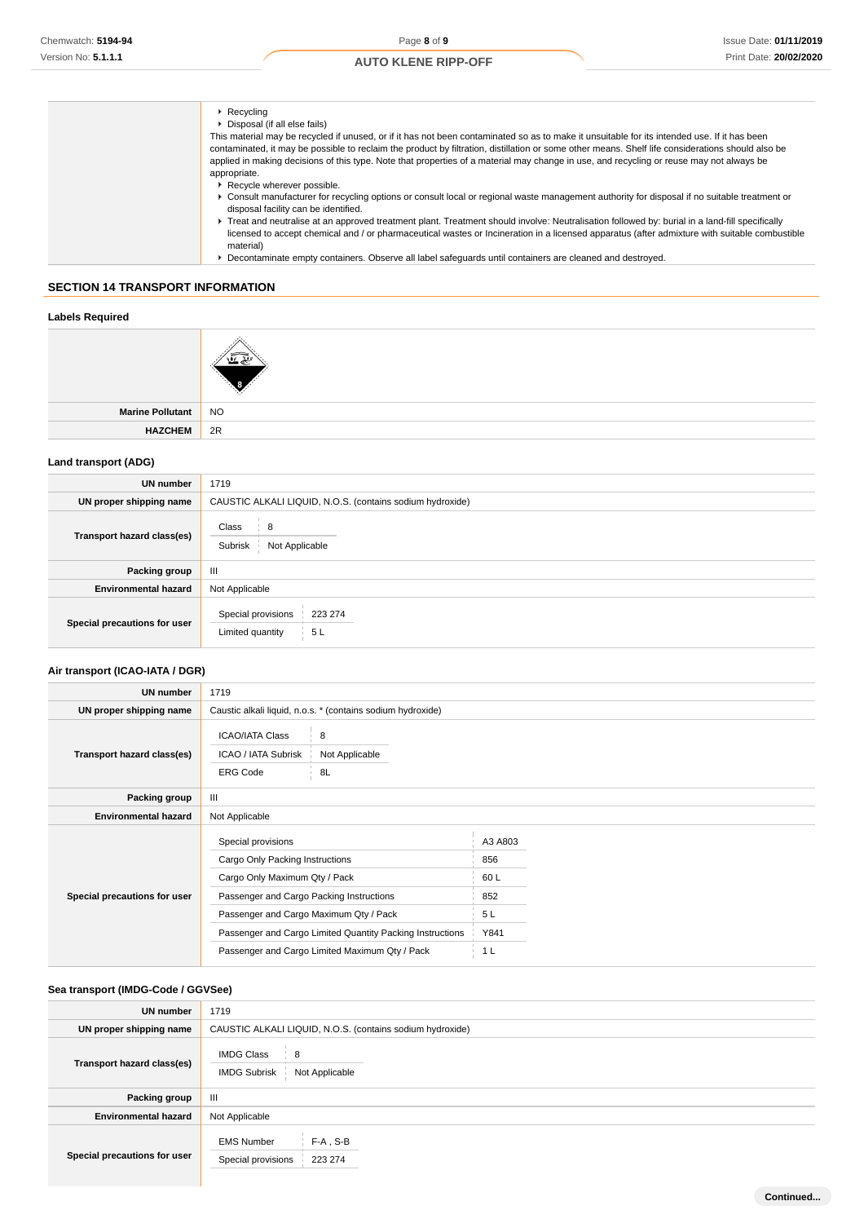- ▶ Recycling
- **Disposal (if all else fails)**

This material may be recycled if unused, or if it has not been contaminated so as to make it unsuitable for its intended use. If it has been contaminated, it may be possible to reclaim the product by filtration, distillation or some other means. Shelf life considerations should also be applied in making decisions of this type. Note that properties of a material may change in use, and recycling or reuse may not always be appropriate.

- Recycle wherever possible.
- **EXECTS CONSULT MANUTE THE CONSULT MANUTE OF THE UPS** CONSULT ON THE REGISTION OF A UPS CONSULT MANUTE TO SUITABLE TREATMENT OF disposal facility can be identified.
- Treat and neutralise at an approved treatment plant. Treatment should involve: Neutralisation followed by: burial in a land-fill specifically licensed to accept chemical and / or pharmaceutical wastes or Incineration in a licensed apparatus (after admixture with suitable combustible material)
- Decontaminate empty containers. Observe all label safeguards until containers are cleaned and destroyed.

## **SECTION 14 TRANSPORT INFORMATION**

# **Labels Required Marine Pollutant** NO **HAZCHEM** 2R

### **Land transport (ADG)**

| UN number                    | 1719                                                      |
|------------------------------|-----------------------------------------------------------|
| UN proper shipping name      | CAUSTIC ALKALI LIQUID, N.O.S. (contains sodium hydroxide) |
| Transport hazard class(es)   | Class<br>8<br>Not Applicable<br>Subrisk                   |
| Packing group                | $\mathbf{III}$                                            |
| <b>Environmental hazard</b>  | Not Applicable                                            |
| Special precautions for user | Special provisions<br>223 274<br>Limited quantity<br>5L   |

### **Air transport (ICAO-IATA / DGR)**

| UN number                    | 1719                                                             |                                                             |                |  |
|------------------------------|------------------------------------------------------------------|-------------------------------------------------------------|----------------|--|
| UN proper shipping name      |                                                                  | Caustic alkali liquid, n.o.s. * (contains sodium hydroxide) |                |  |
| Transport hazard class(es)   | <b>ICAO/IATA Class</b><br>ICAO / IATA Subrisk<br><b>ERG Code</b> | 8<br>Not Applicable<br>8L                                   |                |  |
| Packing group                | Ш                                                                |                                                             |                |  |
| <b>Environmental hazard</b>  | Not Applicable                                                   |                                                             |                |  |
|                              | Special provisions                                               |                                                             | A3 A803        |  |
|                              | Cargo Only Packing Instructions                                  |                                                             | 856            |  |
|                              | Cargo Only Maximum Qty / Pack                                    |                                                             | 60L            |  |
| Special precautions for user | Passenger and Cargo Packing Instructions                         |                                                             | 852            |  |
|                              | Passenger and Cargo Maximum Qty / Pack                           |                                                             | 5L             |  |
|                              | Passenger and Cargo Limited Quantity Packing Instructions        |                                                             | Y841           |  |
|                              | Passenger and Cargo Limited Maximum Qty / Pack                   |                                                             | 1 <sub>L</sub> |  |

### **Sea transport (IMDG-Code / GGVSee)**

| <b>UN</b> number             | 1719                                                              |  |
|------------------------------|-------------------------------------------------------------------|--|
| UN proper shipping name      | CAUSTIC ALKALI LIQUID, N.O.S. (contains sodium hydroxide)         |  |
| Transport hazard class(es)   | <b>IMDG Class</b><br>8<br><b>IMDG Subrisk</b><br>Not Applicable   |  |
| Packing group                | $\mathbf{m}$                                                      |  |
| <b>Environmental hazard</b>  | Not Applicable                                                    |  |
| Special precautions for user | <b>EMS Number</b><br>$F-A$ , S-B<br>Special provisions<br>223 274 |  |